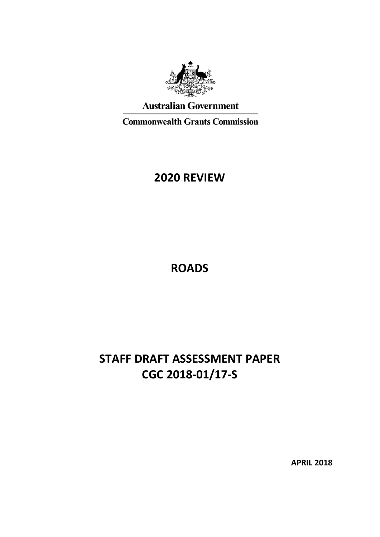

## **Australian Government**

**Commonwealth Grants Commission** 

# **2020 REVIEW**

**ROADS**

# **STAFF DRAFT ASSESSMENT PAPER CGC 2018-01/17-S**

**APRIL 2018**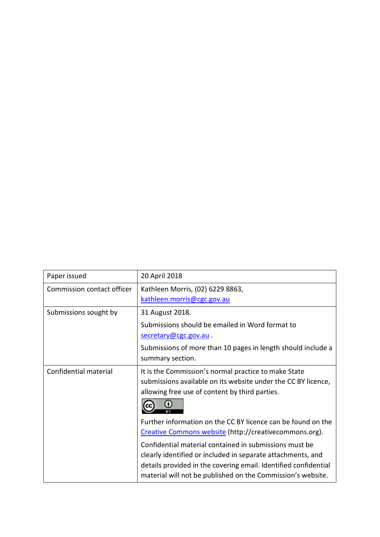| Paper issued               | 20 April 2018                                                                                                                                                                                                                                           |
|----------------------------|---------------------------------------------------------------------------------------------------------------------------------------------------------------------------------------------------------------------------------------------------------|
| Commission contact officer | Kathleen Morris, (02) 6229 8863,<br>kathleen.morris@cgc.gov.au                                                                                                                                                                                          |
| Submissions sought by      | 31 August 2018.                                                                                                                                                                                                                                         |
|                            | Submissions should be emailed in Word format to<br>secretary@cgc.gov.au.                                                                                                                                                                                |
|                            | Submissions of more than 10 pages in length should include a<br>summary section.                                                                                                                                                                        |
| Confidential material      | It is the Commission's normal practice to make State<br>submissions available on its website under the CC BY licence,<br>allowing free use of content by third parties.                                                                                 |
|                            | Further information on the CC BY licence can be found on the<br>Creative Commons website (http://creativecommons.org).                                                                                                                                  |
|                            | Confidential material contained in submissions must be<br>clearly identified or included in separate attachments, and<br>details provided in the covering email. Identified confidential<br>material will not be published on the Commission's website. |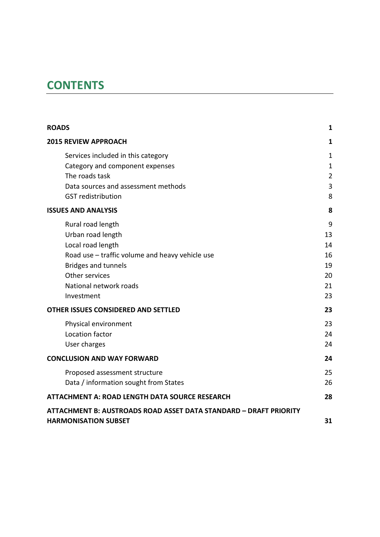# **CONTENTS**

| <b>ROADS</b>                                                      | 1              |
|-------------------------------------------------------------------|----------------|
| <b>2015 REVIEW APPROACH</b>                                       | 1              |
| Services included in this category                                | 1              |
| Category and component expenses                                   | $\mathbf 1$    |
| The roads task                                                    | $\overline{2}$ |
| Data sources and assessment methods                               | 3              |
| <b>GST</b> redistribution                                         | 8              |
| <b>ISSUES AND ANALYSIS</b>                                        | 8              |
| Rural road length                                                 | 9              |
| Urban road length                                                 | 13             |
| Local road length                                                 | 14             |
| Road use - traffic volume and heavy vehicle use                   | 16             |
| <b>Bridges and tunnels</b>                                        | 19             |
| Other services                                                    | 20             |
| National network roads                                            | 21             |
| Investment                                                        | 23             |
| OTHER ISSUES CONSIDERED AND SETTLED                               | 23             |
| Physical environment                                              | 23             |
| Location factor                                                   | 24             |
| User charges                                                      | 24             |
| <b>CONCLUSION AND WAY FORWARD</b>                                 | 24             |
| Proposed assessment structure                                     | 25             |
| Data / information sought from States                             | 26             |
| <b>ATTACHMENT A: ROAD LENGTH DATA SOURCE RESEARCH</b>             | 28             |
| ATTACHMENT B: AUSTROADS ROAD ASSET DATA STANDARD - DRAFT PRIORITY |                |
| <b>HARMONISATION SUBSET</b>                                       | 31             |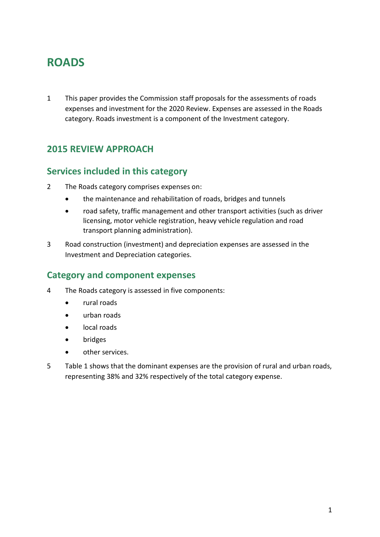# <span id="page-3-0"></span>**ROADS**

1 This paper provides the Commission staff proposals for the assessments of roads expenses and investment for the 2020 Review. Expenses are assessed in the Roads category. Roads investment is a component of the Investment category.

## <span id="page-3-1"></span>**2015 REVIEW APPROACH**

## <span id="page-3-2"></span>**Services included in this category**

- 2 The Roads category comprises expenses on:
	- the maintenance and rehabilitation of roads, bridges and tunnels
	- road safety, traffic management and other transport activities (such as driver licensing, motor vehicle registration, heavy vehicle regulation and road transport planning administration).
- 3 Road construction (investment) and depreciation expenses are assessed in the Investment and Depreciation categories.

## <span id="page-3-3"></span>**Category and component expenses**

- 4 The Roads category is assessed in five components:
	- rural roads
	- urban roads
	- local roads
	- bridges
	- other services.
- 5 [Table 1](#page-4-1) shows that the dominant expenses are the provision of rural and urban roads, representing 38% and 32% respectively of the total category expense.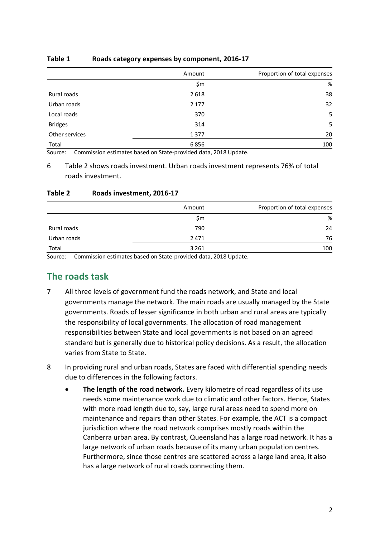|                | Amount  | Proportion of total expenses |
|----------------|---------|------------------------------|
|                | \$m     | %                            |
| Rural roads    | 2618    | 38                           |
| Urban roads    | 2 1 7 7 | 32                           |
| Local roads    | 370     | 5                            |
| <b>Bridges</b> | 314     | 5                            |
| Other services | 1377    | 20                           |
| Total          | 6856    | 100                          |

### <span id="page-4-1"></span>**Table 1 Roads category expenses by component, 2016-17**

Source: Commission estimates based on State-provided data, 2018 Update.

6 [Table 2](#page-4-2) shows roads investment. Urban roads investment represents 76% of total roads investment.

### <span id="page-4-2"></span>**Table 2 Roads investment, 2016-17**

|             | Amount  | Proportion of total expenses |
|-------------|---------|------------------------------|
|             | \$m     | %                            |
| Rural roads | 790     | 24                           |
| Urban roads | 2471    | 76                           |
| Total       | 3 2 6 1 | 100                          |

<span id="page-4-0"></span>Source: Commission estimates based on State-provided data, 2018 Update.

## **The roads task**

- 7 All three levels of government fund the roads network, and State and local governments manage the network. The main roads are usually managed by the State governments. Roads of lesser significance in both urban and rural areas are typically the responsibility of local governments. The allocation of road management responsibilities between State and local governments is not based on an agreed standard but is generally due to historical policy decisions. As a result, the allocation varies from State to State.
- 8 In providing rural and urban roads, States are faced with differential spending needs due to differences in the following factors.
	- **The length of the road network.** Every kilometre of road regardless of its use needs some maintenance work due to climatic and other factors. Hence, States with more road length due to, say, large rural areas need to spend more on maintenance and repairs than other States. For example, the ACT is a compact jurisdiction where the road network comprises mostly roads within the Canberra urban area. By contrast, Queensland has a large road network. It has a large network of urban roads because of its many urban population centres. Furthermore, since those centres are scattered across a large land area, it also has a large network of rural roads connecting them.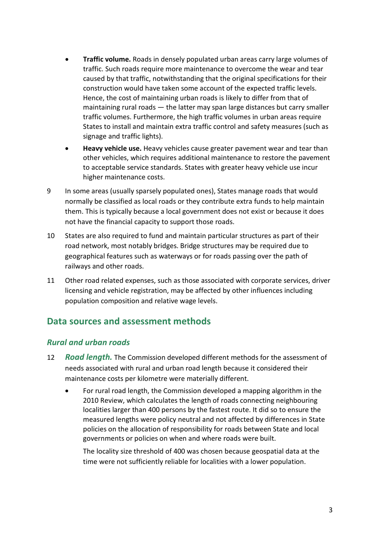- **Traffic volume.** Roads in densely populated urban areas carry large volumes of traffic. Such roads require more maintenance to overcome the wear and tear caused by that traffic, notwithstanding that the original specifications for their construction would have taken some account of the expected traffic levels. Hence, the cost of maintaining urban roads is likely to differ from that of maintaining rural roads — the latter may span large distances but carry smaller traffic volumes. Furthermore, the high traffic volumes in urban areas require States to install and maintain extra traffic control and safety measures (such as signage and traffic lights).
- **Heavy vehicle use.** Heavy vehicles cause greater pavement wear and tear than other vehicles, which requires additional maintenance to restore the pavement to acceptable service standards. States with greater heavy vehicle use incur higher maintenance costs.
- 9 In some areas (usually sparsely populated ones), States manage roads that would normally be classified as local roads or they contribute extra funds to help maintain them. This is typically because a local government does not exist or because it does not have the financial capacity to support those roads.
- 10 States are also required to fund and maintain particular structures as part of their road network, most notably bridges. Bridge structures may be required due to geographical features such as waterways or for roads passing over the path of railways and other roads.
- 11 Other road related expenses, such as those associated with corporate services, driver licensing and vehicle registration, may be affected by other influences including population composition and relative wage levels.

## <span id="page-5-0"></span>**Data sources and assessment methods**

### *Rural and urban roads*

- 12 **Road length.** The Commission developed different methods for the assessment of needs associated with rural and urban road length because it considered their maintenance costs per kilometre were materially different.
	- For rural road length, the Commission developed a mapping algorithm in the 2010 Review, which calculates the length of roads connecting neighbouring localities larger than 400 persons by the fastest route. It did so to ensure the measured lengths were policy neutral and not affected by differences in State policies on the allocation of responsibility for roads between State and local governments or policies on when and where roads were built.

The locality size threshold of 400 was chosen because geospatial data at the time were not sufficiently reliable for localities with a lower population.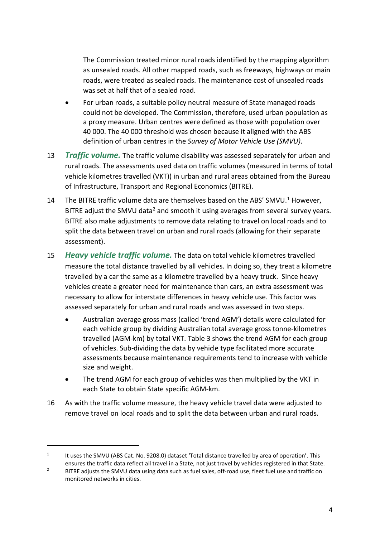The Commission treated minor rural roads identified by the mapping algorithm as unsealed roads. All other mapped roads, such as freeways, highways or main roads, were treated as sealed roads. The maintenance cost of unsealed roads was set at half that of a sealed road.

- For urban roads, a suitable policy neutral measure of State managed roads could not be developed. The Commission, therefore, used urban population as a proxy measure. Urban centres were defined as those with population over 40 000. The 40 000 threshold was chosen because it aligned with the ABS definition of urban centres in the *Survey of Motor Vehicle Use (SMVU)*.
- 13 *Traffic volume.* The traffic volume disability was assessed separately for urban and rural roads. The assessments used data on traffic volumes (measured in terms of total vehicle kilometres travelled (VKT)) in urban and rural areas obtained from the Bureau of Infrastructure, Transport and Regional Economics (BITRE).
- [1](#page-6-0)4 The BITRE traffic volume data are themselves based on the ABS' SMVU.<sup>1</sup> However, BITRE adjust the SMVU data<sup>2</sup> and smooth it using averages from several survey years. BITRE also make adjustments to remove data relating to travel on local roads and to split the data between travel on urban and rural roads (allowing for their separate assessment).
- 15 *Heavy vehicle traffic volume.* The data on total vehicle kilometres travelled measure the total distance travelled by all vehicles. In doing so, they treat a kilometre travelled by a car the same as a kilometre travelled by a heavy truck. Since heavy vehicles create a greater need for maintenance than cars, an extra assessment was necessary to allow for interstate differences in heavy vehicle use. This factor was assessed separately for urban and rural roads and was assessed in two steps.
	- Australian average gross mass (called 'trend AGM') details were calculated for each vehicle group by dividing Australian total average gross tonne-kilometres travelled (AGM-km) by total VKT. [Table](#page-7-0) 3 shows the trend AGM for each group of vehicles. Sub-dividing the data by vehicle type facilitated more accurate assessments because maintenance requirements tend to increase with vehicle size and weight.
	- The trend AGM for each group of vehicles was then multiplied by the VKT in each State to obtain State specific AGM-km.
- 16 As with the traffic volume measure, the heavy vehicle travel data were adjusted to remove travel on local roads and to split the data between urban and rural roads.

<span id="page-6-0"></span><sup>&</sup>lt;sup>1</sup> It uses the SMVU (ABS Cat. No. 9208.0) dataset 'Total distance travelled by area of operation'. This ensures the traffic data reflect all travel in a State, not just travel by vehicles registered in that State.

<span id="page-6-1"></span><sup>&</sup>lt;sup>2</sup> BITRE adjusts the SMVU data using data such as fuel sales, off-road use, fleet fuel use and traffic on monitored networks in cities.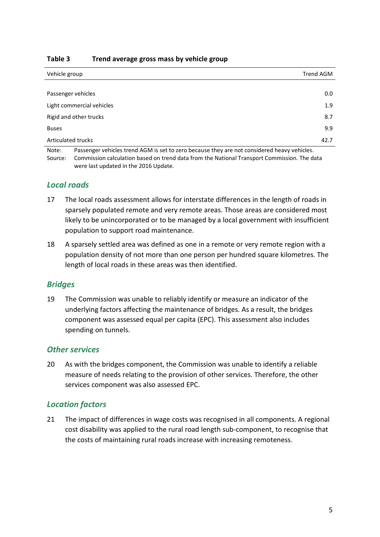### <span id="page-7-0"></span>**Table 3 Trend average gross mass by vehicle group**

| Vehicle group                                                                                                                                                                                                                          | Trend AGM |
|----------------------------------------------------------------------------------------------------------------------------------------------------------------------------------------------------------------------------------------|-----------|
|                                                                                                                                                                                                                                        |           |
| Passenger vehicles                                                                                                                                                                                                                     | 0.0       |
| Light commercial vehicles                                                                                                                                                                                                              | 1.9       |
| Rigid and other trucks                                                                                                                                                                                                                 | 8.7       |
| <b>Buses</b>                                                                                                                                                                                                                           | 9.9       |
| Articulated trucks                                                                                                                                                                                                                     | 42.7      |
| $\mathbf{A} \mathbf{I}$ , and the contract of the contract of the contract of the contract of the contract of the contract of the contract of the contract of the contract of the contract of the contract of the contract of the cont |           |

Note: Passenger vehicles trend AGM is set to zero because they are not considered heavy vehicles. Source: Commission calculation based on trend data from the National Transport Commission. The data were last updated in the 2016 Update.

### *Local roads*

- 17 The local roads assessment allows for interstate differences in the length of roads in sparsely populated remote and very remote areas. Those areas are considered most likely to be unincorporated or to be managed by a local government with insufficient population to support road maintenance.
- 18 A sparsely settled area was defined as one in a remote or very remote region with a population density of not more than one person per hundred square kilometres. The length of local roads in these areas was then identified.

### *Bridges*

19 The Commission was unable to reliably identify or measure an indicator of the underlying factors affecting the maintenance of bridges. As a result, the bridges component was assessed equal per capita (EPC). This assessment also includes spending on tunnels.

### *Other services*

20 As with the bridges component, the Commission was unable to identify a reliable measure of needs relating to the provision of other services. Therefore, the other services component was also assessed EPC.

### *Location factors*

21 The impact of differences in wage costs was recognised in all components. A regional cost disability was applied to the rural road length sub-component, to recognise that the costs of maintaining rural roads increase with increasing remoteness.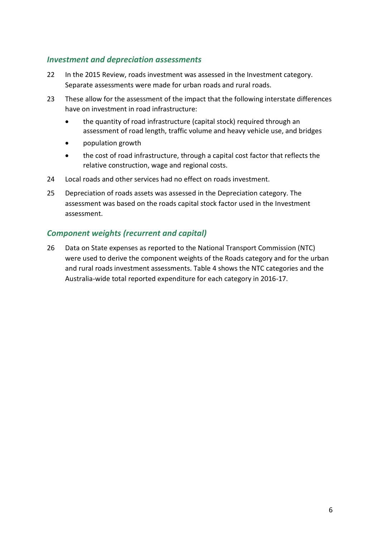### *Investment and depreciation assessments*

- 22 In the 2015 Review, roads investment was assessed in the Investment category. Separate assessments were made for urban roads and rural roads.
- 23 These allow for the assessment of the impact that the following interstate differences have on investment in road infrastructure:
	- the quantity of road infrastructure (capital stock) required through an assessment of road length, traffic volume and heavy vehicle use, and bridges
	- population growth
	- the cost of road infrastructure, through a capital cost factor that reflects the relative construction, wage and regional costs.
- 24 Local roads and other services had no effect on roads investment.
- 25 Depreciation of roads assets was assessed in the Depreciation category. The assessment was based on the roads capital stock factor used in the Investment assessment.

## *Component weights (recurrent and capital)*

26 Data on State expenses as reported to the National Transport Commission (NTC) were used to derive the component weights of the Roads category and for the urban and rural roads investment assessments. [Table 4](#page-9-0) shows the NTC categories and the Australia-wide total reported expenditure for each category in 2016-17.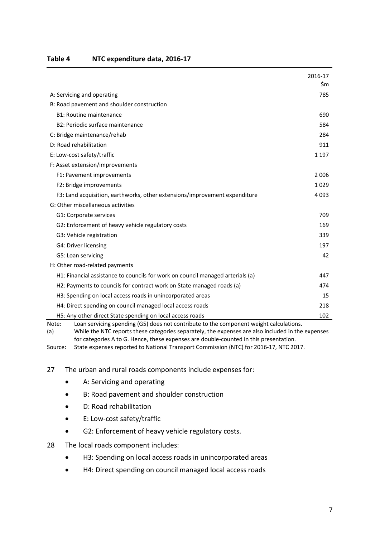|                                                                                                 | 2016-17 |
|-------------------------------------------------------------------------------------------------|---------|
|                                                                                                 | \$m     |
| A: Servicing and operating                                                                      | 785     |
| B: Road pavement and shoulder construction                                                      |         |
| <b>B1: Routine maintenance</b>                                                                  | 690     |
| B2: Periodic surface maintenance                                                                | 584     |
| C: Bridge maintenance/rehab                                                                     | 284     |
| D: Road rehabilitation                                                                          | 911     |
| E: Low-cost safety/traffic                                                                      | 1 1 9 7 |
| F: Asset extension/improvements                                                                 |         |
| F1: Pavement improvements                                                                       | 2006    |
| F2: Bridge improvements                                                                         | 1029    |
| F3: Land acquisition, earthworks, other extensions/improvement expenditure                      | 4 0 9 3 |
| G: Other miscellaneous activities                                                               |         |
| G1: Corporate services                                                                          | 709     |
| G2: Enforcement of heavy vehicle regulatory costs                                               | 169     |
| G3: Vehicle registration                                                                        | 339     |
| G4: Driver licensing                                                                            | 197     |
| G5: Loan servicing                                                                              | 42      |
| H: Other road-related payments                                                                  |         |
| H1: Financial assistance to councils for work on council managed arterials (a)                  | 447     |
| H2: Payments to councils for contract work on State managed roads (a)                           | 474     |
| H3: Spending on local access roads in unincorporated areas                                      | 15      |
| H4: Direct spending on council managed local access roads                                       | 218     |
| H5: Any other direct State spending on local access roads                                       | 102     |
| Loan servicing spending (G5) does not contribute to the component weight calculations.<br>Note: |         |

#### <span id="page-9-0"></span>**Table 4 NTC expenditure data, 2016-17**

(a) While the NTC reports these categories separately, the expenses are also included in the expenses for categories A to G. Hence, these expenses are double-counted in this presentation.

Source: State expenses reported to National Transport Commission (NTC) for 2016-17, NTC 2017.

### 27 The urban and rural roads components include expenses for:

- A: Servicing and operating
- B: Road pavement and shoulder construction
- D: Road rehabilitation
- E: Low-cost safety/traffic
- G2: Enforcement of heavy vehicle regulatory costs.
- 28 The local roads component includes:
	- H3: Spending on local access roads in unincorporated areas
	- H4: Direct spending on council managed local access roads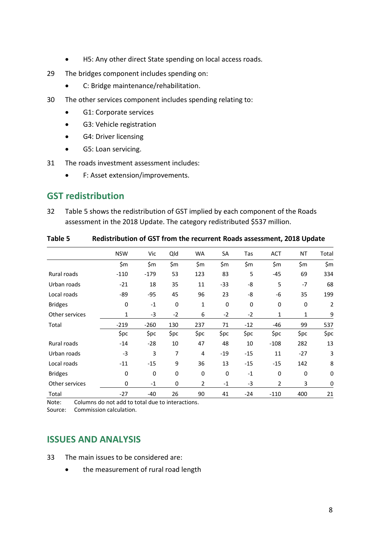- H5: Any other direct State spending on local access roads.
- 29 The bridges component includes spending on:
	- C: Bridge maintenance/rehabilitation.
- 30 The other services component includes spending relating to:
	- G1: Corporate services
	- G3: Vehicle registration
	- G4: Driver licensing
	- G5: Loan servicing.
- 31 The roads investment assessment includes:
	- F: Asset extension/improvements.

## <span id="page-10-0"></span>**GST redistribution**

32 [Table 5](#page-10-2) shows the redistribution of GST implied by each component of the Roads assessment in the 2018 Update. The category redistributed \$537 million.

|                | <b>NSW</b> | Vic    | Qld         | WA             | SA          | Tas   | <b>ACT</b> | ΝT          | Total          |
|----------------|------------|--------|-------------|----------------|-------------|-------|------------|-------------|----------------|
|                | \$m        | \$m    | \$m         | \$m            | \$m\$       | \$m   | \$m        | \$m         | \$m\$          |
| Rural roads    | $-110$     | $-179$ | 53          | 123            | 83          | 5     | $-45$      | 69          | 334            |
| Urban roads    | $-21$      | 18     | 35          | 11             | $-33$       | -8    | 5          | $-7$        | 68             |
| Local roads    | -89        | -95    | 45          | 96             | 23          | -8    | -6         | 35          | 199            |
| <b>Bridges</b> | 0          | $-1$   | $\mathbf 0$ | 1              | $\mathbf 0$ | 0     | 0          | $\mathbf 0$ | $\overline{2}$ |
| Other services | 1          | $-3$   | $-2$        | 6              | $-2$        | $-2$  | 1          | 1           | 9              |
| Total          | $-219$     | $-260$ | 130         | 237            | 71          | $-12$ | $-46$      | 99          | 537            |
|                | \$pc       | \$pc   | \$pc        | \$pc           | \$pc        | \$pc  | \$pc       | \$pc        | \$pc           |
| Rural roads    | $-14$      | $-28$  | 10          | 47             | 48          | 10    | $-108$     | 282         | 13             |
| Urban roads    | $-3$       | 3      | 7           | 4              | $-19$       | $-15$ | 11         | $-27$       | 3              |
| Local roads    | $-11$      | $-15$  | 9           | 36             | 13          | $-15$ | $-15$      | 142         | 8              |
| <b>Bridges</b> | 0          | 0      | $\mathbf 0$ | 0              | $\mathbf 0$ | $-1$  | 0          | $\mathbf 0$ | 0              |
| Other services | 0          | $-1$   | 0           | $\overline{2}$ | $-1$        | -3    | 2          | 3           | 0              |
| Total          | $-27$      | -40    | 26          | 90             | 41          | $-24$ | $-110$     | 400         | 21             |

<span id="page-10-2"></span>**Table 5 Redistribution of GST from the recurrent Roads assessment, 2018 Update**

Note: Columns do not add to total due to interactions.

<span id="page-10-1"></span>Source: Commission calculation.

## **ISSUES AND ANALYSIS**

- 33 The main issues to be considered are:
	- the measurement of rural road length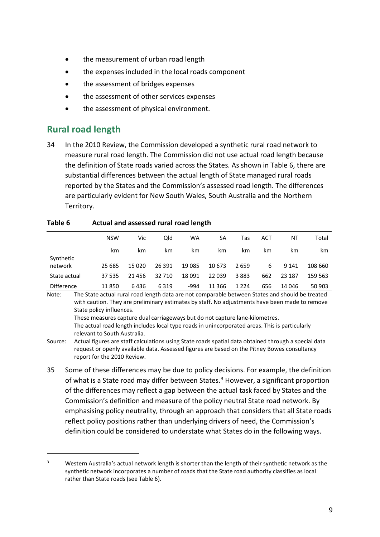- the measurement of urban road length
- the expenses included in the local roads component
- the assessment of bridges expenses
- the assessment of other services expenses
- the assessment of physical environment.

## <span id="page-11-0"></span>**Rural road length**

 $\overline{a}$ 

34 In the 2010 Review, the Commission developed a synthetic rural road network to measure rural road length. The Commission did not use actual road length because the definition of State roads varied across the States. As shown in [Table 6,](#page-11-1) there are substantial differences between the actual length of State managed rural roads reported by the States and the Commission's assessed road length. The differences are particularly evident for New South Wales, South Australia and the Northern Territory.

|                   | <b>NSW</b> | Vic   | Qld    | WA      | SA       | Tas     | ACT | ΝT      | Total   |
|-------------------|------------|-------|--------|---------|----------|---------|-----|---------|---------|
|                   | km         | km.   | km.    | km      | km       | km      | km  | km      | km      |
| Synthetic         |            |       |        |         |          |         |     |         |         |
| network           | 25 685     | 15020 | 26 391 | 19 0 85 | 10 673   | 2659    | 6   | 9 1 4 1 | 108 660 |
| State actual      | 37 535     | 21456 | 32 710 | 18091   | 22 0 39  | 3883    | 662 | 23 187  | 159 563 |
| <b>Difference</b> | 11850      | 6436  | 6319   | -994    | 11 3 6 6 | 1 2 2 4 | 656 | 14 04 6 | 50 903  |

#### <span id="page-11-1"></span>**Table 6 Actual and assessed rural road length**

Note: The State actual rural road length data are not comparable between States and should be treated with caution. They are preliminary estimates by staff. No adjustments have been made to remove State policy influences. These measures capture dual carriageways but do not capture lane-kilometres.

The actual road length includes local type roads in unincorporated areas. This is particularly relevant to South Australia.

- Source: Actual figures are staff calculations using State roads spatial data obtained through a special data request or openly available data. Assessed figures are based on the Pitney Bowes consultancy report for the 2010 Review.
- 35 Some of these differences may be due to policy decisions. For example, the definition of what is a State road may differ between States.<sup>[3](#page-11-2)</sup> However, a significant proportion of the differences may reflect a gap between the actual task faced by States and the Commission's definition and measure of the policy neutral State road network. By emphasising policy neutrality, through an approach that considers that all State roads reflect policy positions rather than underlying drivers of need, the Commission's definition could be considered to understate what States do in the following ways.

<span id="page-11-2"></span><sup>&</sup>lt;sup>3</sup> Western Australia's actual network length is shorter than the length of their synthetic network as the synthetic network incorporates a number of roads that the State road authority classifies as local rather than State roads (see [Table 6\)](#page-11-1).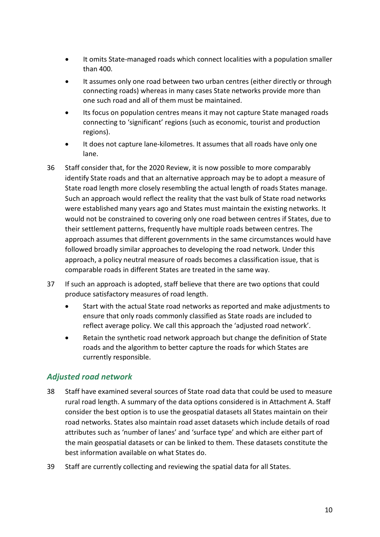- It omits State-managed roads which connect localities with a population smaller than 400.
- It assumes only one road between two urban centres (either directly or through connecting roads) whereas in many cases State networks provide more than one such road and all of them must be maintained.
- Its focus on population centres means it may not capture State managed roads connecting to 'significant' regions (such as economic, tourist and production regions).
- It does not capture lane-kilometres. It assumes that all roads have only one lane.
- 36 Staff consider that, for the 2020 Review, it is now possible to more comparably identify State roads and that an alternative approach may be to adopt a measure of State road length more closely resembling the actual length of roads States manage. Such an approach would reflect the reality that the vast bulk of State road networks were established many years ago and States must maintain the existing networks. It would not be constrained to covering only one road between centres if States, due to their settlement patterns, frequently have multiple roads between centres. The approach assumes that different governments in the same circumstances would have followed broadly similar approaches to developing the road network. Under this approach, a policy neutral measure of roads becomes a classification issue, that is comparable roads in different States are treated in the same way.
- 37 If such an approach is adopted, staff believe that there are two options that could produce satisfactory measures of road length.
	- Start with the actual State road networks as reported and make adjustments to ensure that only roads commonly classified as State roads are included to reflect average policy. We call this approach the 'adjusted road network'.
	- Retain the synthetic road network approach but change the definition of State roads and the algorithm to better capture the roads for which States are currently responsible.

### *Adjusted road network*

- 38 Staff have examined several sources of State road data that could be used to measure rural road length. A summary of the data options considered is in Attachment A. Staff consider the best option is to use the geospatial datasets all States maintain on their road networks. States also maintain road asset datasets which include details of road attributes such as 'number of lanes' and 'surface type' and which are either part of the main geospatial datasets or can be linked to them. These datasets constitute the best information available on what States do.
- 39 Staff are currently collecting and reviewing the spatial data for all States.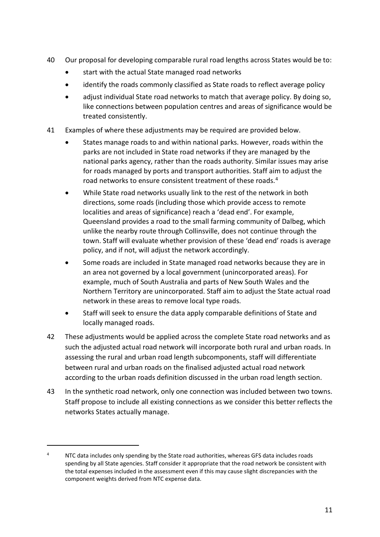- 40 Our proposal for developing comparable rural road lengths across States would be to:
	- start with the actual State managed road networks
	- identify the roads commonly classified as State roads to reflect average policy
	- adjust individual State road networks to match that average policy. By doing so, like connections between population centres and areas of significance would be treated consistently.
- 41 Examples of where these adjustments may be required are provided below.
	- States manage roads to and within national parks. However, roads within the parks are not included in State road networks if they are managed by the national parks agency, rather than the roads authority. Similar issues may arise for roads managed by ports and transport authorities. Staff aim to adjust the road networks to ensure consistent treatment of these roads.<sup>[4](#page-13-0)</sup>
	- While State road networks usually link to the rest of the network in both directions, some roads (including those which provide access to remote localities and areas of significance) reach a 'dead end'. For example, Queensland provides a road to the small farming community of Dalbeg, which unlike the nearby route through Collinsville, does not continue through the town. Staff will evaluate whether provision of these 'dead end' roads is average policy, and if not, will adjust the network accordingly.
	- Some roads are included in State managed road networks because they are in an area not governed by a local government (unincorporated areas). For example, much of South Australia and parts of New South Wales and the Northern Territory are unincorporated. Staff aim to adjust the State actual road network in these areas to remove local type roads.
	- Staff will seek to ensure the data apply comparable definitions of State and locally managed roads.
- 42 These adjustments would be applied across the complete State road networks and as such the adjusted actual road network will incorporate both rural and urban roads. In assessing the rural and urban road length subcomponents, staff will differentiate between rural and urban roads on the finalised adjusted actual road network according to the urban roads definition discussed in the urban road length section.
- 43 In the synthetic road network, only one connection was included between two towns. Staff propose to include all existing connections as we consider this better reflects the networks States actually manage.

<span id="page-13-0"></span> $4$  NTC data includes only spending by the State road authorities, whereas GFS data includes roads spending by all State agencies. Staff consider it appropriate that the road network be consistent with the total expenses included in the assessment even if this may cause slight discrepancies with the component weights derived from NTC expense data.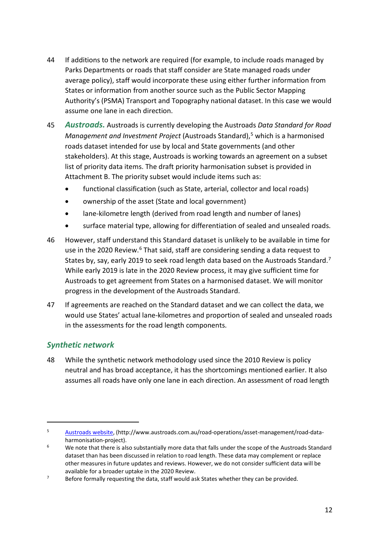- 44 If additions to the network are required (for example, to include roads managed by Parks Departments or roads that staff consider are State managed roads under average policy), staff would incorporate these using either further information from States or information from another source such as the Public Sector Mapping Authority's (PSMA) Transport and Topography national dataset. In this case we would assume one lane in each direction.
- 45 *Austroads.* Austroads is currently developing the Austroads *Data Standard for Road Management and Investment Project* (Austroads Standard), [5](#page-14-0) which is a harmonised roads dataset intended for use by local and State governments (and other stakeholders). At this stage, Austroads is working towards an agreement on a subset list of priority data items. The draft priority harmonisation subset is provided in Attachment B. The priority subset would include items such as:
	- functional classification (such as State, arterial, collector and local roads)
	- ownership of the asset (State and local government)
	- lane-kilometre length (derived from road length and number of lanes)
	- surface material type, allowing for differentiation of sealed and unsealed roads.
- 46 However, staff understand this Standard dataset is unlikely to be available in time for use in the 2020 Review.<sup>[6](#page-14-1)</sup> That said, staff are considering sending a data request to States by, say, early 2019 to seek road length data based on the Austroads Standard.<sup>[7](#page-14-2)</sup> While early 2019 is late in the 2020 Review process, it may give sufficient time for Austroads to get agreement from States on a harmonised dataset. We will monitor progress in the development of the Austroads Standard.
- 47 If agreements are reached on the Standard dataset and we can collect the data, we would use States' actual lane-kilometres and proportion of sealed and unsealed roads in the assessments for the road length components.

### *Synthetic network*

 $\overline{a}$ 

48 While the synthetic network methodology used since the 2010 Review is policy neutral and has broad acceptance, it has the shortcomings mentioned earlier. It also assumes all roads have only one lane in each direction. An assessment of road length

<span id="page-14-0"></span><sup>5</sup> [Austroads website,](http://www.austroads.com.au/road-operations/asset-management/road-data-harmonisation-project) (http://www.austroads.com.au/road-operations/asset-management/road-dataharmonisation-project).

<span id="page-14-1"></span><sup>&</sup>lt;sup>6</sup> We note that there is also substantially more data that falls under the scope of the Austroads Standard dataset than has been discussed in relation to road length. These data may complement or replace other measures in future updates and reviews. However, we do not consider sufficient data will be available for a broader uptake in the 2020 Review.

<span id="page-14-2"></span> $7$  Before formally requesting the data, staff would ask States whether they can be provided.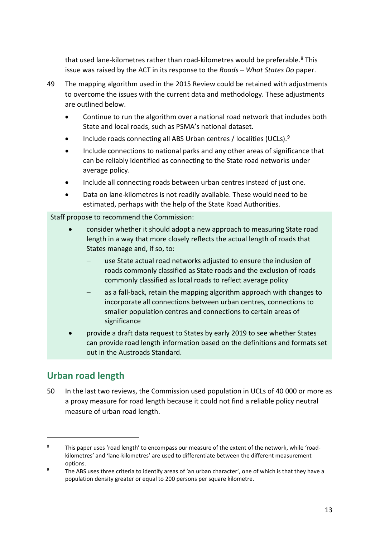that used lane-kilometres rather than road-kilometres would be preferable.<sup>[8](#page-15-1)</sup> This issue was raised by the ACT in its response to the *Roads – What States Do* paper.

- 49 The mapping algorithm used in the 2015 Review could be retained with adjustments to overcome the issues with the current data and methodology. These adjustments are outlined below.
	- Continue to run the algorithm over a national road network that includes both State and local roads, such as PSMA's national dataset.
	- Include roads connecting all ABS Urban centres / localities (UCLs).<sup>[9](#page-15-2)</sup>
	- Include connections to national parks and any other areas of significance that can be reliably identified as connecting to the State road networks under average policy.
	- Include all connecting roads between urban centres instead of just one.
	- Data on lane-kilometres is not readily available. These would need to be estimated, perhaps with the help of the State Road Authorities.

Staff propose to recommend the Commission:

- consider whether it should adopt a new approach to measuring State road length in a way that more closely reflects the actual length of roads that States manage and, if so, to:
	- use State actual road networks adjusted to ensure the inclusion of roads commonly classified as State roads and the exclusion of roads commonly classified as local roads to reflect average policy
	- as a fall-back, retain the mapping algorithm approach with changes to incorporate all connections between urban centres, connections to smaller population centres and connections to certain areas of significance
- provide a draft data request to States by early 2019 to see whether States can provide road length information based on the definitions and formats set out in the Austroads Standard.

## <span id="page-15-0"></span>**Urban road length**

 $\overline{a}$ 

50 In the last two reviews, the Commission used population in UCLs of 40 000 or more as a proxy measure for road length because it could not find a reliable policy neutral measure of urban road length.

<span id="page-15-1"></span><sup>&</sup>lt;sup>8</sup> This paper uses 'road length' to encompass our measure of the extent of the network, while 'roadkilometres' and 'lane-kilometres' are used to differentiate between the different measurement options.

<span id="page-15-2"></span><sup>&</sup>lt;sup>9</sup> The ABS uses three criteria to identify areas of 'an urban character', one of which is that they have a population density greater or equal to 200 persons per square kilometre.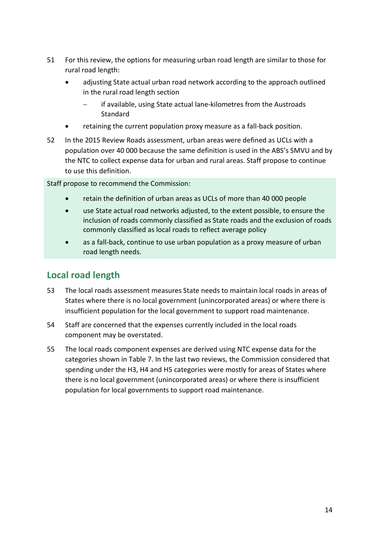- 51 For this review, the options for measuring urban road length are similar to those for rural road length:
	- adjusting State actual urban road network according to the approach outlined in the rural road length section
		- − if available, using State actual lane-kilometres from the Austroads **Standard**
	- retaining the current population proxy measure as a fall-back position.
- 52 In the 2015 Review Roads assessment, urban areas were defined as UCLs with a population over 40 000 because the same definition is used in the ABS's SMVU and by the NTC to collect expense data for urban and rural areas. Staff propose to continue to use this definition.

Staff propose to recommend the Commission:

- retain the definition of urban areas as UCLs of more than 40 000 people
- use State actual road networks adjusted, to the extent possible, to ensure the inclusion of roads commonly classified as State roads and the exclusion of roads commonly classified as local roads to reflect average policy
- as a fall-back, continue to use urban population as a proxy measure of urban road length needs.

## <span id="page-16-0"></span>**Local road length**

- 53 The local roads assessment measures State needs to maintain local roads in areas of States where there is no local government (unincorporated areas) or where there is insufficient population for the local government to support road maintenance.
- 54 Staff are concerned that the expenses currently included in the local roads component may be overstated.
- 55 The local roads component expenses are derived using NTC expense data for the categories shown in [Table 7.](#page-17-0) In the last two reviews, the Commission considered that spending under the H3, H4 and H5 categories were mostly for areas of States where there is no local government (unincorporated areas) or where there is insufficient population for local governments to support road maintenance.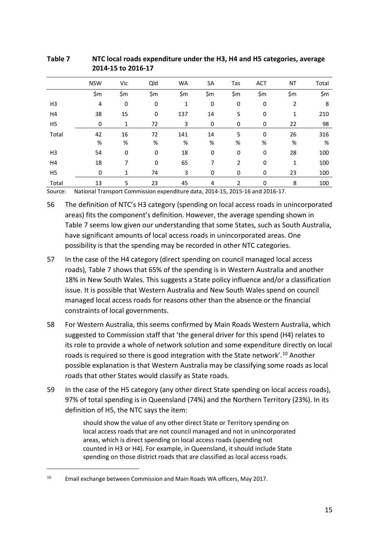|                | <b>NSW</b> | Vic         | Qld | <b>WA</b> | SA  | Tas | <b>ACT</b>  | NT             | Total |
|----------------|------------|-------------|-----|-----------|-----|-----|-------------|----------------|-------|
|                | \$m        | \$m         | \$m | \$m       | \$m | \$m | \$m         | \$m            | \$m\$ |
| H3             | 4          | 0           | 0   | 1         | 0   | 0   | 0           | $\overline{2}$ | 8     |
| H4             | 38         | 15          | 0   | 137       | 14  | 5   | 0           | 1              | 210   |
| H5             | 0          | 1           | 72  | 3         | 0   | 0   | 0           | 22             | 98    |
| Total          | 42         | 16          | 72  | 141       | 14  | 5   | $\mathbf 0$ | 26             | 316   |
|                | $\%$       | %           | %   | %         | %   | %   | $\%$        | %              | %     |
| H <sub>3</sub> | 54         | $\mathbf 0$ | 0   | 18        | 0   | 0   | $\mathbf 0$ | 28             | 100   |
| H4             | 18         | 7           | 0   | 65        | 7   | 2   | $\mathbf 0$ | 1              | 100   |
| H5             | 0          | 1           | 74  | 3         | 0   | 0   | 0           | 23             | 100   |
| Total          | 13         | 5           | 23  | 45        | 4   | 2   | 0           | 8              | 100   |

<span id="page-17-0"></span>**Table 7 NTC local roads expenditure under the H3, H4 and H5 categories, average 2014-15 to 2016-17**

Source: National Transport Commission expenditure data, 2014-15, 2015-16 and 2016-17.

56 The definition of NTC's H3 category (spending on local access roads in unincorporated areas) fits the component's definition. However, the average spending shown in [Table 7](#page-17-0) seems low given our understanding that some States, such as South Australia, have significant amounts of local access roads in unincorporated areas. One possibility is that the spending may be recorded in other NTC categories.

- 57 In the case of the H4 category (direct spending on council managed local access roads), [Table 7](#page-17-0) shows that 65% of the spending is in Western Australia and another 18% in New South Wales. This suggests a State policy influence and/or a classification issue. It is possible that Western Australia and New South Wales spend on council managed local access roads for reasons other than the absence or the financial constraints of local governments.
- 58 For Western Australia, this seems confirmed by Main Roads Western Australia, which suggested to Commission staff that 'the general driver for this spend (H4) relates to its role to provide a whole of network solution and some expenditure directly on local roads is required so there is good integration with the State network'.<sup>[10](#page-17-1)</sup> Another possible explanation is that Western Australia may be classifying some roads as local roads that other States would classify as State roads.
- 59 In the case of the H5 category (any other direct State spending on local access roads), 97% of total spending is in Queensland (74%) and the Northern Territory (23%). In its definition of H5, the NTC says the item:

should show the value of any other direct State or Territory spending on local access roads that are not council managed and not in unincorporated areas, which is direct spending on local access roads (spending not counted in H3 or H4). For example, in Queensland, it should include State spending on those district roads that are classified as local access roads.

<span id="page-17-1"></span><sup>&</sup>lt;sup>10</sup> Email exchange between Commission and Main Roads WA officers, May 2017.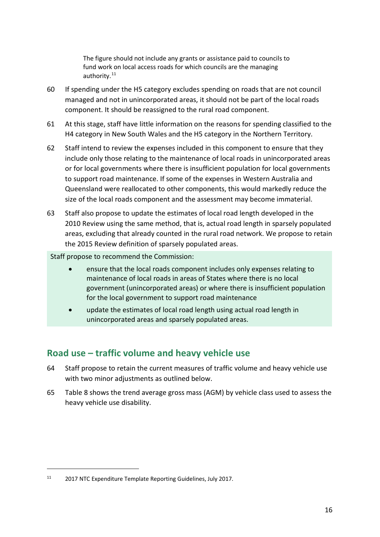The figure should not include any grants or assistance paid to councils to fund work on local access roads for which councils are the managing authority.[11](#page-18-1)

- 60 If spending under the H5 category excludes spending on roads that are not council managed and not in unincorporated areas, it should not be part of the local roads component. It should be reassigned to the rural road component.
- 61 At this stage, staff have little information on the reasons for spending classified to the H4 category in New South Wales and the H5 category in the Northern Territory.
- 62 Staff intend to review the expenses included in this component to ensure that they include only those relating to the maintenance of local roads in unincorporated areas or for local governments where there is insufficient population for local governments to support road maintenance. If some of the expenses in Western Australia and Queensland were reallocated to other components, this would markedly reduce the size of the local roads component and the assessment may become immaterial.
- 63 Staff also propose to update the estimates of local road length developed in the 2010 Review using the same method, that is, actual road length in sparsely populated areas, excluding that already counted in the rural road network. We propose to retain the 2015 Review definition of sparsely populated areas.

Staff propose to recommend the Commission:

- ensure that the local roads component includes only expenses relating to maintenance of local roads in areas of States where there is no local government (unincorporated areas) or where there is insufficient population for the local government to support road maintenance
- update the estimates of local road length using actual road length in unincorporated areas and sparsely populated areas.

## <span id="page-18-0"></span>**Road use – traffic volume and heavy vehicle use**

- 64 Staff propose to retain the current measures of traffic volume and heavy vehicle use with two minor adjustments as outlined below.
- 65 [Table 8](#page-19-0) shows the trend average gross mass (AGM) by vehicle class used to assess the heavy vehicle use disability.

<span id="page-18-1"></span><sup>11</sup> 2017 NTC Expenditure Template Reporting Guidelines, July 2017.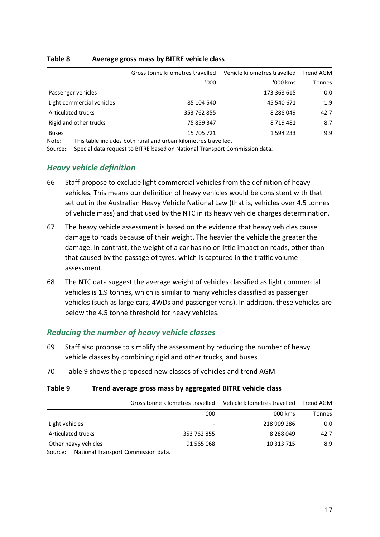### <span id="page-19-0"></span>**Table 8 Average gross mass by BITRE vehicle class**

|                           | Gross tonne kilometres travelled | Vehicle kilometres travelled | Trend AGM |
|---------------------------|----------------------------------|------------------------------|-----------|
|                           | '000                             | '000 kms                     | Tonnes    |
| Passenger vehicles        |                                  | 173 368 615                  | 0.0       |
| Light commercial vehicles | 85 104 540                       | 45 540 671                   | 1.9       |
| <b>Articulated trucks</b> | 353 762 855                      | 8 2 8 0 4 9                  | 42.7      |
| Rigid and other trucks    | 75 859 347                       | 8719481                      | 8.7       |
| <b>Buses</b>              | 15 705 721                       | 1 594 233                    | 9.9       |

Note: This table includes both rural and urban kilometres travelled.

Source: Special data request to BITRE based on National Transport Commission data.

### *Heavy vehicle definition*

- 66 Staff propose to exclude light commercial vehicles from the definition of heavy vehicles. This means our definition of heavy vehicles would be consistent with that set out in the Australian Heavy Vehicle National Law (that is, vehicles over 4.5 tonnes of vehicle mass) and that used by the NTC in its heavy vehicle charges determination.
- 67 The heavy vehicle assessment is based on the evidence that heavy vehicles cause damage to roads because of their weight. The heavier the vehicle the greater the damage. In contrast, the weight of a car has no or little impact on roads, other than that caused by the passage of tyres, which is captured in the traffic volume assessment.
- 68 The NTC data suggest the average weight of vehicles classified as light commercial vehicles is 1.9 tonnes, which is similar to many vehicles classified as passenger vehicles (such as large cars, 4WDs and passenger vans). In addition, these vehicles are below the 4.5 tonne threshold for heavy vehicles.

### *Reducing the number of heavy vehicle classes*

- 69 Staff also propose to simplify the assessment by reducing the number of heavy vehicle classes by combining rigid and other trucks, and buses.
- 70 [Table 9](#page-19-1) shows the proposed new classes of vehicles and trend AGM.

### <span id="page-19-1"></span>**Table 9 Trend average gross mass by aggregated BITRE vehicle class**

|                                                         | Gross tonne kilometres travelled | Vehicle kilometres travelled | Trend AGM |
|---------------------------------------------------------|----------------------------------|------------------------------|-----------|
|                                                         | '000                             | '000 kms                     | Tonnes    |
| Light vehicles                                          |                                  | 218 909 286                  | 0.0       |
| Articulated trucks                                      | 353 762 855                      | 8 2 8 8 0 4 9                | 42.7      |
| Other heavy vehicles                                    | 91 565 068                       | 10 3 13 7 15                 | 8.9       |
| National Transport Commission data<br>$C_{\text{OUTC}}$ |                                  |                              |           |

Source: National Transport Commission data.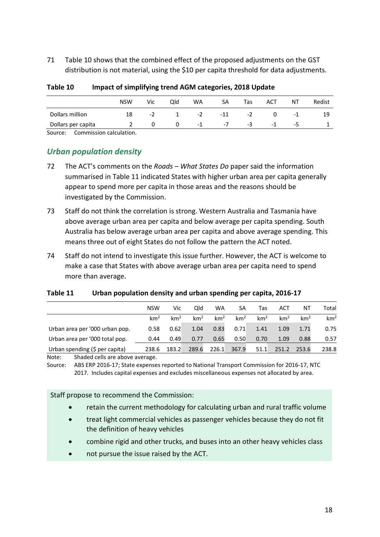71 [Table 10](#page-20-0) shows that the combined effect of the proposed adjustments on the GST distribution is not material, using the \$10 per capita threshold for data adjustments.

|                                    | <b>NSW</b> | Vic  | Old | WA   | SA    | Tas | ACT  | N٦  | Redist |
|------------------------------------|------------|------|-----|------|-------|-----|------|-----|--------|
| Dollars million                    | 18         | $-2$ |     | $-2$ | $-11$ | -2  |      | - 1 | 19     |
| Dollars per capita                 |            |      | 0   | -1   | -7    | -3  | $-1$ | -5  |        |
| Commission calculation.<br>Source: |            |      |     |      |       |     |      |     |        |

<span id="page-20-0"></span>**Table 10 Impact of simplifying trend AGM categories, 2018 Update**

*Urban population density* 

- 72 The ACT's comments on the *Roads – What States Do* paper said the information summarised in [Table 11](#page-20-1) indicated States with higher urban area per capita generally appear to spend more per capita in those areas and the reasons should be investigated by the Commission.
- 73 Staff do not think the correlation is strong. Western Australia and Tasmania have above average urban area per capita and below average per capita spending. South Australia has below average urban area per capita and above average spending. This means three out of eight States do not follow the pattern the ACT noted.
- 74 Staff do not intend to investigate this issue further. However, the ACT is welcome to make a case that States with above average urban area per capita need to spend more than average.

### <span id="page-20-1"></span>**Table 11 Urban population density and urban spending per capita, 2016-17**

|                                | <b>NSW</b>      | Vic             | Qld             | WA              | SA              | Tas             | ACT             | ΝT              | Total           |
|--------------------------------|-----------------|-----------------|-----------------|-----------------|-----------------|-----------------|-----------------|-----------------|-----------------|
|                                | km <sup>2</sup> | km <sup>2</sup> | km <sup>2</sup> | km <sup>2</sup> | km <sup>2</sup> | km <sup>2</sup> | km <sup>2</sup> | km <sup>2</sup> | km <sup>2</sup> |
| Urban area per '000 urban pop. | 0.58            | 0.62            | 1.04            | 0.83            | 0.71            | 1.41            | 1.09            | 1.71            | 0.75            |
| Urban area per '000 total pop. | 0.44            | 0.49            | 0.77            | 0.65            | 0.50            | 0.70            | 1.09            | 0.88            | 0.57            |
| Urban spending (\$ per capita) | 238.6           | 183.2           | 289.6           | 226.1           | 367.9           | 51.1            | 251.2           | 253.6           | 238.8           |
|                                |                 |                 |                 |                 |                 |                 |                 |                 |                 |

Note: Shaded cells are above average.

Source: ABS ERP 2016-17; State expenses reported to National Transport Commission for 2016-17, NTC 2017. Includes capital expenses and excludes miscellaneous expenses not allocated by area.

Staff propose to recommend the Commission:

- retain the current methodology for calculating urban and rural traffic volume
- treat light commercial vehicles as passenger vehicles because they do not fit the definition of heavy vehicles
- combine rigid and other trucks, and buses into an other heavy vehicles class
- not pursue the issue raised by the ACT.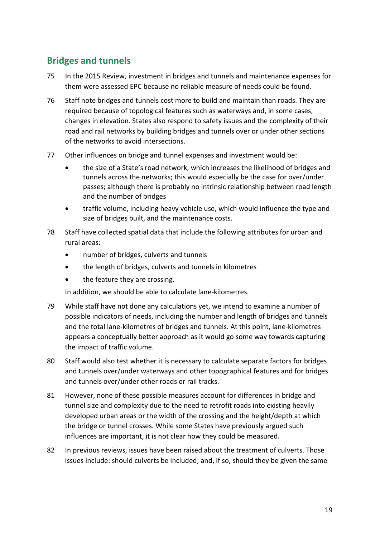## <span id="page-21-0"></span>**Bridges and tunnels**

- 75 In the 2015 Review, investment in bridges and tunnels and maintenance expenses for them were assessed EPC because no reliable measure of needs could be found.
- 76 Staff note bridges and tunnels cost more to build and maintain than roads. They are required because of topological features such as waterways and, in some cases, changes in elevation. States also respond to safety issues and the complexity of their road and rail networks by building bridges and tunnels over or under other sections of the networks to avoid intersections.
- 77 Other influences on bridge and tunnel expenses and investment would be:
	- the size of a State's road network, which increases the likelihood of bridges and tunnels across the networks; this would especially be the case for over/under passes; although there is probably no intrinsic relationship between road length and the number of bridges
	- traffic volume, including heavy vehicle use, which would influence the type and size of bridges built, and the maintenance costs.
- 78 Staff have collected spatial data that include the following attributes for urban and rural areas:
	- number of bridges, culverts and tunnels
	- the length of bridges, culverts and tunnels in kilometres
	- the feature they are crossing.

In addition, we should be able to calculate lane-kilometres.

- 79 While staff have not done any calculations yet, we intend to examine a number of possible indicators of needs, including the number and length of bridges and tunnels and the total lane-kilometres of bridges and tunnels. At this point, lane-kilometres appears a conceptually better approach as it would go some way towards capturing the impact of traffic volume.
- 80 Staff would also test whether it is necessary to calculate separate factors for bridges and tunnels over/under waterways and other topographical features and for bridges and tunnels over/under other roads or rail tracks.
- 81 However, none of these possible measures account for differences in bridge and tunnel size and complexity due to the need to retrofit roads into existing heavily developed urban areas or the width of the crossing and the height/depth at which the bridge or tunnel crosses. While some States have previously argued such influences are important, it is not clear how they could be measured.
- 82 In previous reviews, issues have been raised about the treatment of culverts. Those issues include: should culverts be included; and, if so, should they be given the same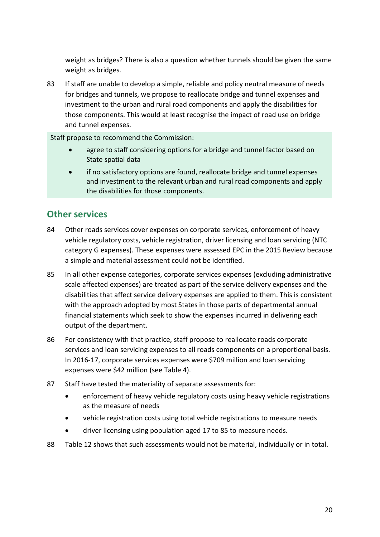weight as bridges? There is also a question whether tunnels should be given the same weight as bridges.

83 If staff are unable to develop a simple, reliable and policy neutral measure of needs for bridges and tunnels, we propose to reallocate bridge and tunnel expenses and investment to the urban and rural road components and apply the disabilities for those components. This would at least recognise the impact of road use on bridge and tunnel expenses.

Staff propose to recommend the Commission:

- agree to staff considering options for a bridge and tunnel factor based on State spatial data
- if no satisfactory options are found, reallocate bridge and tunnel expenses and investment to the relevant urban and rural road components and apply the disabilities for those components.

## <span id="page-22-0"></span>**Other services**

- 84 Other roads services cover expenses on corporate services, enforcement of heavy vehicle regulatory costs, vehicle registration, driver licensing and loan servicing (NTC category G expenses). These expenses were assessed EPC in the 2015 Review because a simple and material assessment could not be identified.
- 85 In all other expense categories, corporate services expenses (excluding administrative scale affected expenses) are treated as part of the service delivery expenses and the disabilities that affect service delivery expenses are applied to them. This is consistent with the approach adopted by most States in those parts of departmental annual financial statements which seek to show the expenses incurred in delivering each output of the department.
- 86 For consistency with that practice, staff propose to reallocate roads corporate services and loan servicing expenses to all roads components on a proportional basis. In 2016-17, corporate services expenses were \$709 million and loan servicing expenses were \$42 million (see [Table 4\)](#page-9-0).
- 87 Staff have tested the materiality of separate assessments for:
	- enforcement of heavy vehicle regulatory costs using heavy vehicle registrations as the measure of needs
	- vehicle registration costs using total vehicle registrations to measure needs
	- driver licensing using population aged 17 to 85 to measure needs.
- 88 [Table 12](#page-23-1) shows that such assessments would not be material, individually or in total.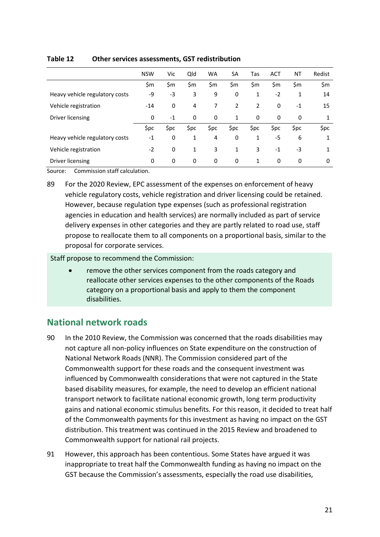|                                | <b>NSW</b> | Vic  | Qld  | <b>WA</b> | SA   | Tas  | <b>ACT</b> | NT   | Redist |
|--------------------------------|------------|------|------|-----------|------|------|------------|------|--------|
|                                | \$m        | \$m  | \$m  | \$m       | \$m  | \$m  | \$m        | \$m  | \$m    |
| Heavy vehicle regulatory costs | -9         | -3   | 3    | 9         | 0    | 1    | $-2$       | 1    | 14     |
| Vehicle registration           | $-14$      | 0    | 4    | 7         | 2    | 2    | 0          | $-1$ | 15     |
| Driver licensing               | 0          | $-1$ | 0    | 0         | 1    | 0    | 0          | 0    | 1      |
|                                | \$pc       | \$pc | \$pc | \$pc      | \$pc | \$pc | \$pc       | \$pc | \$pc   |
| Heavy vehicle regulatory costs | $-1$       | 0    | 1    | 4         | 0    | 1    | -5         | 6    | 1      |
| Vehicle registration           | $-2$       | 0    | 1    | 3         | 1    | 3    | $-1$       | -3   | 1      |
| Driver licensing               | 0          | 0    | 0    | 0         | 0    | 1    | 0          | 0    | 0      |

#### <span id="page-23-1"></span>**Table 12 Other services assessments, GST redistribution**

Source: Commission staff calculation.

89 For the 2020 Review, EPC assessment of the expenses on enforcement of heavy vehicle regulatory costs, vehicle registration and driver licensing could be retained. However, because regulation type expenses (such as professional registration agencies in education and health services) are normally included as part of service delivery expenses in other categories and they are partly related to road use, staff propose to reallocate them to all components on a proportional basis, similar to the proposal for corporate services.

Staff propose to recommend the Commission:

• remove the other services component from the roads category and reallocate other services expenses to the other components of the Roads category on a proportional basis and apply to them the component disabilities.

## <span id="page-23-0"></span>**National network roads**

- 90 In the 2010 Review, the Commission was concerned that the roads disabilities may not capture all non-policy influences on State expenditure on the construction of National Network Roads (NNR). The Commission considered part of the Commonwealth support for these roads and the consequent investment was influenced by Commonwealth considerations that were not captured in the State based disability measures, for example, the need to develop an efficient national transport network to facilitate national economic growth, long term productivity gains and national economic stimulus benefits. For this reason, it decided to treat half of the Commonwealth payments for this investment as having no impact on the GST distribution. This treatment was continued in the 2015 Review and broadened to Commonwealth support for national rail projects.
- 91 However, this approach has been contentious. Some States have argued it was inappropriate to treat half the Commonwealth funding as having no impact on the GST because the Commission's assessments, especially the road use disabilities,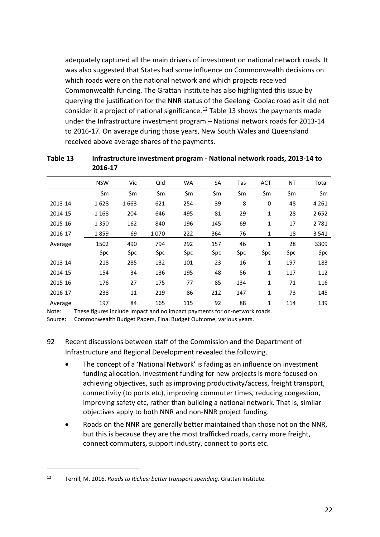adequately captured all the main drivers of investment on national network roads. It was also suggested that States had some influence on Commonwealth decisions on which roads were on the national network and which projects received Commonwealth funding. The Grattan Institute has also highlighted this issue by querying the justification for the NNR status of the Geelong–Coolac road as it did not consider it a project of national significance.<sup>[12](#page-24-1)</sup> [Table 13](#page-24-0) shows the payments made under the Infrastructure investment program – National network roads for 2013-14 to 2016-17. On average during those years, New South Wales and Queensland received above average shares of the payments.

|         | <b>NSW</b> | Vic   | Qld  | WA    | SA   | Tas  | <b>ACT</b>   | NT   | Total   |
|---------|------------|-------|------|-------|------|------|--------------|------|---------|
|         | \$m        | \$m\$ | \$m  | \$m\$ | \$m  | \$m  | \$m          | \$m  | \$m     |
| 2013-14 | 1628       | 1663  | 621  | 254   | 39   | 8    | 0            | 48   | 4 2 6 1 |
| 2014-15 | 1 1 6 8    | 204   | 646  | 495   | 81   | 29   | 1            | 28   | 2652    |
| 2015-16 | 1350       | 162   | 840  | 196   | 145  | 69   | 1            | 17   | 2781    |
| 2016-17 | 1859       | -69   | 1070 | 222   | 364  | 76   | 1            | 18   | 3541    |
| Average | 1502       | 490   | 794  | 292   | 157  | 46   | $\mathbf{1}$ | 28   | 3309    |
|         | \$pc       | \$pc  | \$pc | \$pc  | \$pc | \$pc | \$pc         | \$pc | \$pc    |
| 2013-14 | 218        | 285   | 132  | 101   | 23   | 16   | 1            | 197  | 183     |
| 2014-15 | 154        | 34    | 136  | 195   | 48   | 56   | 1            | 117  | 112     |
| 2015-16 | 176        | 27    | 175  | 77    | 85   | 134  | $\mathbf{1}$ | 71   | 116     |
| 2016-17 | 238        | $-11$ | 219  | 86    | 212  | 147  | 1            | 73   | 145     |
| Average | 197        | 84    | 165  | 115   | 92   | 88   | $\mathbf{1}$ | 114  | 139     |

<span id="page-24-0"></span>**Table 13 Infrastructure investment program - National network roads, 2013-14 to 2016-17**

Note: These figures include impact and no impact payments for on-network roads.

Source: Commonwealth Budget Papers, Final Budget Outcome, various years.

### 92 Recent discussions between staff of the Commission and the Department of Infrastructure and Regional Development revealed the following.

- The concept of a 'National Network' is fading as an influence on investment funding allocation. Investment funding for new projects is more focused on achieving objectives, such as improving productivity/access, freight transport, connectivity (to ports etc), improving commuter times, reducing congestion, improving safety etc, rather than building a national network. That is, similar objectives apply to both NNR and non-NNR project funding.
- Roads on the NNR are generally better maintained than those not on the NNR, but this is because they are the most trafficked roads, carry more freight, connect commuters, support industry, connect to ports etc.

<span id="page-24-1"></span><sup>12</sup> Terrill, M. 2016. *Roads to Riches: better transport spending*. Grattan Institute.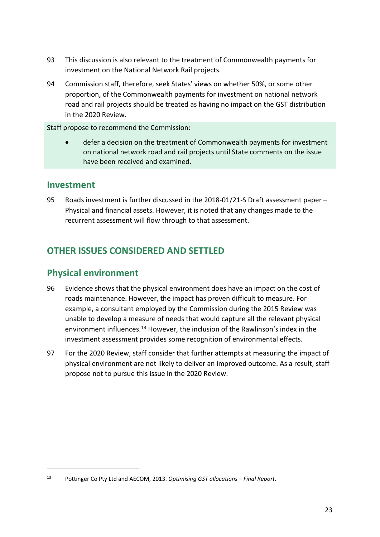- 93 This discussion is also relevant to the treatment of Commonwealth payments for investment on the National Network Rail projects.
- 94 Commission staff, therefore, seek States' views on whether 50%, or some other proportion, of the Commonwealth payments for investment on national network road and rail projects should be treated as having no impact on the GST distribution in the 2020 Review.

Staff propose to recommend the Commission:

• defer a decision on the treatment of Commonwealth payments for investment on national network road and rail projects until State comments on the issue have been received and examined.

### <span id="page-25-0"></span>**Investment**

 $\overline{a}$ 

95 Roads investment is further discussed in the 2018-01/21-S Draft assessment paper – Physical and financial assets. However, it is noted that any changes made to the recurrent assessment will flow through to that assessment.

## <span id="page-25-1"></span>**OTHER ISSUES CONSIDERED AND SETTLED**

## <span id="page-25-2"></span>**Physical environment**

- 96 Evidence shows that the physical environment does have an impact on the cost of roads maintenance. However, the impact has proven difficult to measure. For example, a consultant employed by the Commission during the 2015 Review was unable to develop a measure of needs that would capture all the relevant physical environment influences.<sup>[13](#page-25-3)</sup> However, the inclusion of the Rawlinson's index in the investment assessment provides some recognition of environmental effects.
- 97 For the 2020 Review, staff consider that further attempts at measuring the impact of physical environment are not likely to deliver an improved outcome. As a result, staff propose not to pursue this issue in the 2020 Review.

<span id="page-25-3"></span><sup>13</sup> Pottinger Co Pty Ltd and AECOM, 2013. *Optimising GST allocations – Final Report*.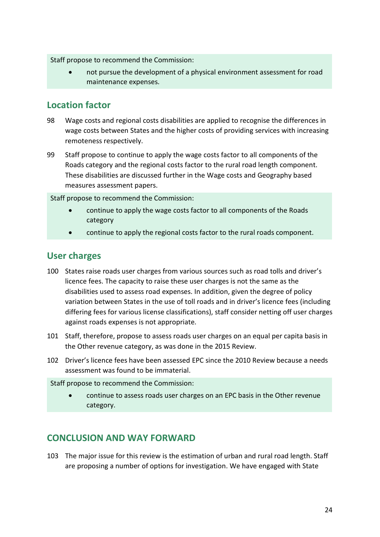Staff propose to recommend the Commission:

• not pursue the development of a physical environment assessment for road maintenance expenses.

## <span id="page-26-0"></span>**Location factor**

- 98 Wage costs and regional costs disabilities are applied to recognise the differences in wage costs between States and the higher costs of providing services with increasing remoteness respectively.
- 99 Staff propose to continue to apply the wage costs factor to all components of the Roads category and the regional costs factor to the rural road length component. These disabilities are discussed further in the Wage costs and Geography based measures assessment papers.

Staff propose to recommend the Commission:

- continue to apply the wage costs factor to all components of the Roads category
- continue to apply the regional costs factor to the rural roads component.

## <span id="page-26-1"></span>**User charges**

- 100 States raise roads user charges from various sources such as road tolls and driver's licence fees. The capacity to raise these user charges is not the same as the disabilities used to assess road expenses. In addition, given the degree of policy variation between States in the use of toll roads and in driver's licence fees (including differing fees for various license classifications), staff consider netting off user charges against roads expenses is not appropriate.
- 101 Staff, therefore, propose to assess roads user charges on an equal per capita basis in the Other revenue category, as was done in the 2015 Review.
- 102 Driver's licence fees have been assessed EPC since the 2010 Review because a needs assessment was found to be immaterial.

Staff propose to recommend the Commission:

• continue to assess roads user charges on an EPC basis in the Other revenue category.

## <span id="page-26-2"></span>**CONCLUSION AND WAY FORWARD**

103 The major issue for this review is the estimation of urban and rural road length. Staff are proposing a number of options for investigation. We have engaged with State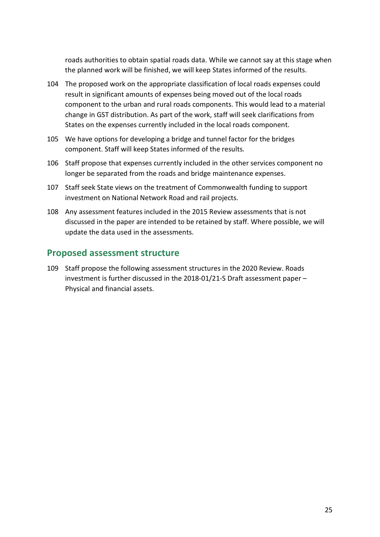roads authorities to obtain spatial roads data. While we cannot say at this stage when the planned work will be finished, we will keep States informed of the results.

- 104 The proposed work on the appropriate classification of local roads expenses could result in significant amounts of expenses being moved out of the local roads component to the urban and rural roads components. This would lead to a material change in GST distribution. As part of the work, staff will seek clarifications from States on the expenses currently included in the local roads component.
- 105 We have options for developing a bridge and tunnel factor for the bridges component. Staff will keep States informed of the results.
- 106 Staff propose that expenses currently included in the other services component no longer be separated from the roads and bridge maintenance expenses.
- 107 Staff seek State views on the treatment of Commonwealth funding to support investment on National Network Road and rail projects.
- 108 Any assessment features included in the 2015 Review assessments that is not discussed in the paper are intended to be retained by staff. Where possible, we will update the data used in the assessments.

## <span id="page-27-0"></span>**Proposed assessment structure**

109 Staff propose the following assessment structures in the 2020 Review. Roads investment is further discussed in the 2018-01/21-S Draft assessment paper – Physical and financial assets.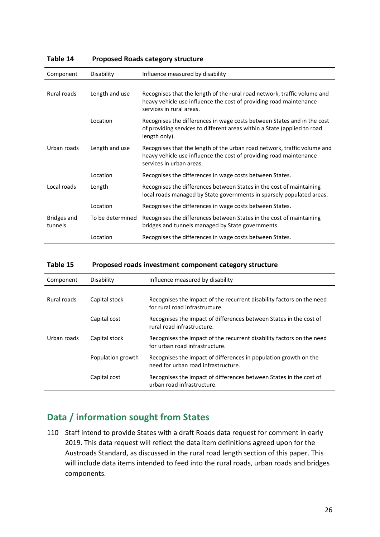| Component              | Disability       | Influence measured by disability                                                                                                                                           |
|------------------------|------------------|----------------------------------------------------------------------------------------------------------------------------------------------------------------------------|
| Rural roads            | Length and use   | Recognises that the length of the rural road network, traffic volume and<br>heavy vehicle use influence the cost of providing road maintenance<br>services in rural areas. |
|                        | Location         | Recognises the differences in wage costs between States and in the cost<br>of providing services to different areas within a State (applied to road<br>length only).       |
| Urban roads            | Length and use   | Recognises that the length of the urban road network, traffic volume and<br>heavy vehicle use influence the cost of providing road maintenance<br>services in urban areas. |
|                        | Location         | Recognises the differences in wage costs between States.                                                                                                                   |
| Local roads            | Length           | Recognises the differences between States in the cost of maintaining<br>local roads managed by State governments in sparsely populated areas.                              |
|                        | Location         | Recognises the differences in wage costs between States.                                                                                                                   |
| Bridges and<br>tunnels | To be determined | Recognises the differences between States in the cost of maintaining<br>bridges and tunnels managed by State governments.                                                  |
|                        | Location         | Recognises the differences in wage costs between States.                                                                                                                   |

### **Table 14 Proposed Roads category structure**

#### **Table 15 Proposed roads investment component category structure**

| Component   | Disability        | Influence measured by disability                                                                        |
|-------------|-------------------|---------------------------------------------------------------------------------------------------------|
|             |                   |                                                                                                         |
| Rural roads | Capital stock     | Recognises the impact of the recurrent disability factors on the need<br>for rural road infrastructure. |
|             | Capital cost      | Recognises the impact of differences between States in the cost of<br>rural road infrastructure.        |
| Urban roads | Capital stock     | Recognises the impact of the recurrent disability factors on the need<br>for urban road infrastructure. |
|             | Population growth | Recognises the impact of differences in population growth on the<br>need for urban road infrastructure. |
|             | Capital cost      | Recognises the impact of differences between States in the cost of<br>urban road infrastructure.        |

## <span id="page-28-0"></span>**Data / information sought from States**

110 Staff intend to provide States with a draft Roads data request for comment in early 2019. This data request will reflect the data item definitions agreed upon for the Austroads Standard, as discussed in the rural road length section of this paper. This will include data items intended to feed into the rural roads, urban roads and bridges components.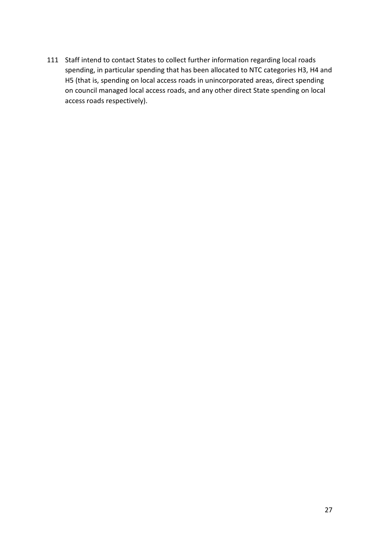111 Staff intend to contact States to collect further information regarding local roads spending, in particular spending that has been allocated to NTC categories H3, H4 and H5 (that is, spending on local access roads in unincorporated areas, direct spending on council managed local access roads, and any other direct State spending on local access roads respectively).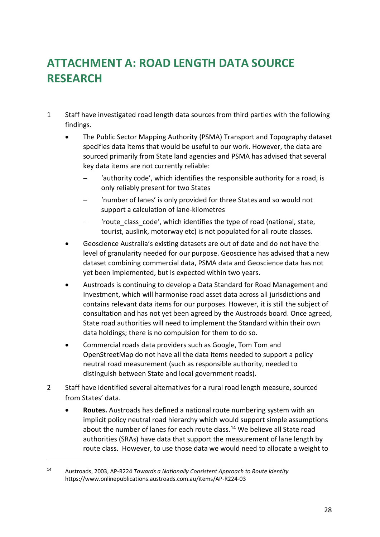# <span id="page-30-0"></span>**ATTACHMENT A: ROAD LENGTH DATA SOURCE RESEARCH**

- 1 Staff have investigated road length data sources from third parties with the following findings.
	- The Public Sector Mapping Authority (PSMA) Transport and Topography dataset specifies data items that would be useful to our work. However, the data are sourced primarily from State land agencies and PSMA has advised that several key data items are not currently reliable:
		- − 'authority code', which identifies the responsible authority for a road, is only reliably present for two States
		- − 'number of lanes' is only provided for three States and so would not support a calculation of lane-kilometres
		- − 'route\_class\_code', which identifies the type of road (national, state, tourist, auslink, motorway etc) is not populated for all route classes.
	- Geoscience Australia's existing datasets are out of date and do not have the level of granularity needed for our purpose. Geoscience has advised that a new dataset combining commercial data, PSMA data and Geoscience data has not yet been implemented, but is expected within two years.
	- Austroads is continuing to develop a Data Standard for Road Management and Investment, which will harmonise road asset data across all jurisdictions and contains relevant data items for our purposes. However, it is still the subject of consultation and has not yet been agreed by the Austroads board. Once agreed, State road authorities will need to implement the Standard within their own data holdings; there is no compulsion for them to do so.
	- Commercial roads data providers such as Google, Tom Tom and OpenStreetMap do not have all the data items needed to support a policy neutral road measurement (such as responsible authority, needed to distinguish between State and local government roads).
- 2 Staff have identified several alternatives for a rural road length measure, sourced from States' data.
	- **Routes.** Austroads has defined a national route numbering system with an implicit policy neutral road hierarchy which would support simple assumptions about the number of lanes for each route class.<sup>[14](#page-30-1)</sup> We believe all State road authorities (SRAs) have data that support the measurement of lane length by route class. However, to use those data we would need to allocate a weight to

<span id="page-30-1"></span><sup>14</sup> Austroads, 2003, AP-R224 *Towards a Nationally Consistent Approach to Route Identity* https://www.onlinepublications.austroads.com.au/items/AP-R224-03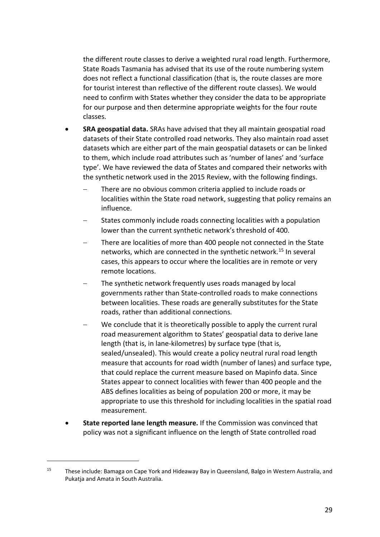the different route classes to derive a weighted rural road length. Furthermore, State Roads Tasmania has advised that its use of the route numbering system does not reflect a functional classification (that is, the route classes are more for tourist interest than reflective of the different route classes). We would need to confirm with States whether they consider the data to be appropriate for our purpose and then determine appropriate weights for the four route classes.

- **SRA geospatial data.** SRAs have advised that they all maintain geospatial road datasets of their State controlled road networks. They also maintain road asset datasets which are either part of the main geospatial datasets or can be linked to them, which include road attributes such as 'number of lanes' and 'surface type'. We have reviewed the data of States and compared their networks with the synthetic network used in the 2015 Review, with the following findings.
	- There are no obvious common criteria applied to include roads or localities within the State road network, suggesting that policy remains an influence.
	- States commonly include roads connecting localities with a population lower than the current synthetic network's threshold of 400.
	- There are localities of more than 400 people not connected in the State networks, which are connected in the synthetic network.[15](#page-31-0) In several cases, this appears to occur where the localities are in remote or very remote locations.
	- The synthetic network frequently uses roads managed by local governments rather than State-controlled roads to make connections between localities. These roads are generally substitutes for the State roads, rather than additional connections.
	- We conclude that it is theoretically possible to apply the current rural road measurement algorithm to States' geospatial data to derive lane length (that is, in lane-kilometres) by surface type (that is, sealed/unsealed). This would create a policy neutral rural road length measure that accounts for road width (number of lanes) and surface type, that could replace the current measure based on Mapinfo data. Since States appear to connect localities with fewer than 400 people and the ABS defines localities as being of population 200 or more, it may be appropriate to use this threshold for including localities in the spatial road measurement.
- **State reported lane length measure.** If the Commission was convinced that policy was not a significant influence on the length of State controlled road

<span id="page-31-0"></span><sup>&</sup>lt;sup>15</sup> These include: Bamaga on Cape York and Hideaway Bay in Queensland, Balgo in Western Australia, and Pukatja and Amata in South Australia.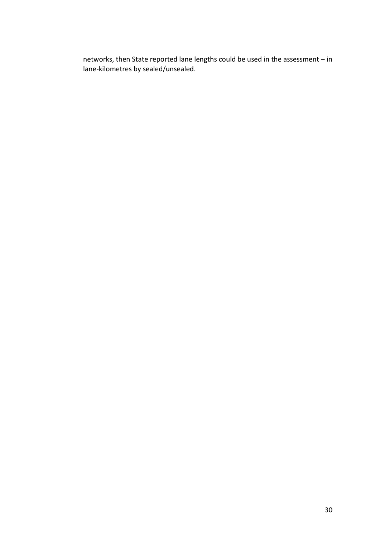networks, then State reported lane lengths could be used in the assessment – in lane-kilometres by sealed/unsealed.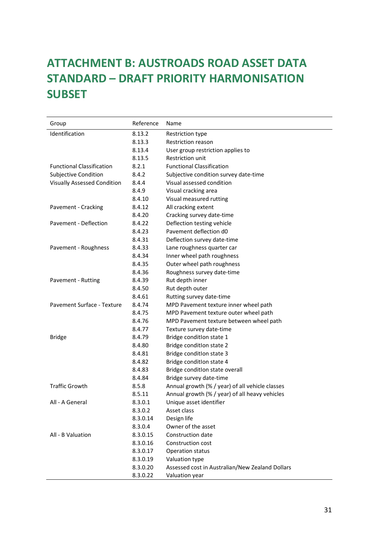# <span id="page-33-0"></span>**ATTACHMENT B: AUSTROADS ROAD ASSET DATA STANDARD – DRAFT PRIORITY HARMONISATION SUBSET**

| Group                              | Reference | Name                                            |
|------------------------------------|-----------|-------------------------------------------------|
| Identification                     | 8.13.2    | Restriction type                                |
|                                    | 8.13.3    | Restriction reason                              |
|                                    | 8.13.4    | User group restriction applies to               |
|                                    | 8.13.5    | Restriction unit                                |
| <b>Functional Classification</b>   | 8.2.1     | <b>Functional Classification</b>                |
| <b>Subjective Condition</b>        | 8.4.2     | Subjective condition survey date-time           |
| <b>Visually Assessed Condition</b> | 8.4.4     | Visual assessed condition                       |
|                                    | 8.4.9     | Visual cracking area                            |
|                                    | 8.4.10    | Visual measured rutting                         |
| Pavement - Cracking                | 8.4.12    | All cracking extent                             |
|                                    | 8.4.20    | Cracking survey date-time                       |
| Pavement - Deflection              | 8.4.22    | Deflection testing vehicle                      |
|                                    | 8.4.23    | Pavement deflection d0                          |
|                                    | 8.4.31    | Deflection survey date-time                     |
| Pavement - Roughness               | 8.4.33    | Lane roughness quarter car                      |
|                                    | 8.4.34    | Inner wheel path roughness                      |
|                                    | 8.4.35    | Outer wheel path roughness                      |
|                                    | 8.4.36    | Roughness survey date-time                      |
| Pavement - Rutting                 | 8.4.39    | Rut depth inner                                 |
|                                    | 8.4.50    | Rut depth outer                                 |
|                                    | 8.4.61    | Rutting survey date-time                        |
| Pavement Surface - Texture         | 8.4.74    | MPD Pavement texture inner wheel path           |
|                                    | 8.4.75    | MPD Pavement texture outer wheel path           |
|                                    | 8.4.76    | MPD Pavement texture between wheel path         |
|                                    | 8.4.77    | Texture survey date-time                        |
| <b>Bridge</b>                      | 8.4.79    | Bridge condition state 1                        |
|                                    | 8.4.80    | Bridge condition state 2                        |
|                                    | 8.4.81    | Bridge condition state 3                        |
|                                    | 8.4.82    | Bridge condition state 4                        |
|                                    | 8.4.83    | Bridge condition state overall                  |
|                                    | 8.4.84    | Bridge survey date-time                         |
| <b>Traffic Growth</b>              | 8.5.8     | Annual growth (% / year) of all vehicle classes |
|                                    | 8.5.11    | Annual growth (% / year) of all heavy vehicles  |
| All - A General                    | 8.3.0.1   | Unique asset identifier                         |
|                                    | 8.3.0.2   | Asset class                                     |
|                                    | 8.3.0.14  | Design life                                     |
|                                    | 8.3.0.4   | Owner of the asset                              |
| All - B Valuation                  | 8.3.0.15  | Construction date                               |
|                                    | 8.3.0.16  | Construction cost                               |
|                                    | 8.3.0.17  | Operation status                                |
|                                    | 8.3.0.19  | Valuation type                                  |
|                                    | 8.3.0.20  | Assessed cost in Australian/New Zealand Dollars |
|                                    | 8.3.0.22  | Valuation year                                  |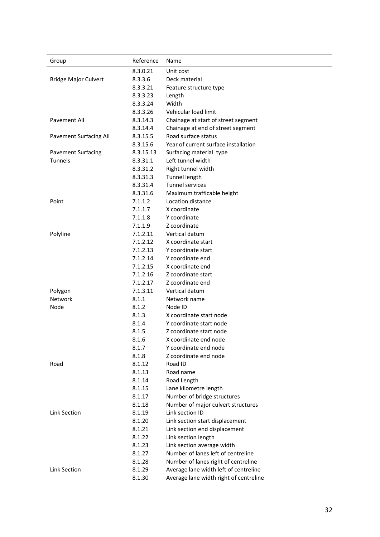| Group                         | Reference        | Name                                                                         |
|-------------------------------|------------------|------------------------------------------------------------------------------|
|                               | 8.3.0.21         | Unit cost                                                                    |
| <b>Bridge Major Culvert</b>   | 8.3.3.6          | Deck material                                                                |
|                               | 8.3.3.21         | Feature structure type                                                       |
|                               | 8.3.3.23         | Length                                                                       |
|                               | 8.3.3.24         | Width                                                                        |
|                               | 8.3.3.26         | Vehicular load limit                                                         |
| <b>Pavement All</b>           | 8.3.14.3         | Chainage at start of street segment                                          |
|                               | 8.3.14.4         | Chainage at end of street segment                                            |
| <b>Pavement Surfacing All</b> | 8.3.15.5         | Road surface status                                                          |
|                               | 8.3.15.6         | Year of current surface installation                                         |
| <b>Pavement Surfacing</b>     | 8.3.15.13        | Surfacing material type                                                      |
| Tunnels                       | 8.3.31.1         | Left tunnel width                                                            |
|                               | 8.3.31.2         | Right tunnel width                                                           |
|                               | 8.3.31.3         | Tunnel length                                                                |
|                               | 8.3.31.4         | <b>Tunnel services</b>                                                       |
|                               | 8.3.31.6         | Maximum trafficable height                                                   |
| Point                         | 7.1.1.2          | Location distance                                                            |
|                               | 7.1.1.7          | X coordinate                                                                 |
|                               | 7.1.1.8          | Y coordinate                                                                 |
|                               | 7.1.1.9          | Z coordinate                                                                 |
| Polyline                      | 7.1.2.11         | Vertical datum                                                               |
|                               | 7.1.2.12         | X coordinate start                                                           |
|                               | 7.1.2.13         | Y coordinate start                                                           |
|                               | 7.1.2.14         | Y coordinate end                                                             |
|                               | 7.1.2.15         | X coordinate end                                                             |
|                               | 7.1.2.16         | Z coordinate start                                                           |
|                               | 7.1.2.17         | Z coordinate end                                                             |
| Polygon                       | 7.1.3.11         | Vertical datum                                                               |
| Network                       | 8.1.1            | Network name                                                                 |
| Node                          | 8.1.2            | Node ID                                                                      |
|                               | 8.1.3            | X coordinate start node                                                      |
|                               | 8.1.4            | Y coordinate start node                                                      |
|                               | 8.1.5            | Z coordinate start node                                                      |
|                               | 8.1.6            | X coordinate end node                                                        |
|                               | 8.1.7            | Y coordinate end node                                                        |
|                               | 8.1.8            | Z coordinate end node                                                        |
| Road                          | 8.1.12           | Road ID                                                                      |
|                               | 8.1.13           | Road name                                                                    |
|                               | 8.1.14           | Road Length                                                                  |
|                               | 8.1.15           | Lane kilometre length                                                        |
|                               | 8.1.17           | Number of bridge structures                                                  |
|                               | 8.1.18           | Number of major culvert structures                                           |
| Link Section                  | 8.1.19           | Link section ID                                                              |
|                               | 8.1.20           | Link section start displacement                                              |
|                               | 8.1.21           | Link section end displacement                                                |
|                               | 8.1.22           | Link section length                                                          |
|                               |                  |                                                                              |
|                               |                  |                                                                              |
|                               | 8.1.23           | Link section average width                                                   |
|                               | 8.1.27           | Number of lanes left of centreline                                           |
| Link Section                  | 8.1.28<br>8.1.29 | Number of lanes right of centreline<br>Average lane width left of centreline |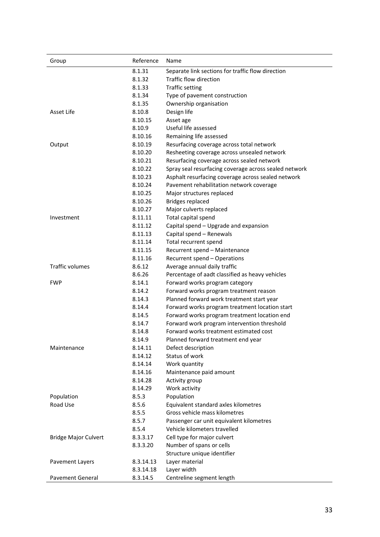| Group                       | Reference | Name                                                  |
|-----------------------------|-----------|-------------------------------------------------------|
|                             | 8.1.31    | Separate link sections for traffic flow direction     |
|                             | 8.1.32    | Traffic flow direction                                |
|                             | 8.1.33    | <b>Traffic setting</b>                                |
|                             | 8.1.34    | Type of pavement construction                         |
|                             | 8.1.35    | Ownership organisation                                |
| Asset Life                  | 8.10.8    | Design life                                           |
|                             | 8.10.15   | Asset age                                             |
|                             | 8.10.9    | Useful life assessed                                  |
|                             | 8.10.16   | Remaining life assessed                               |
| Output                      | 8.10.19   | Resurfacing coverage across total network             |
|                             | 8.10.20   | Resheeting coverage across unsealed network           |
|                             | 8.10.21   | Resurfacing coverage across sealed network            |
|                             | 8.10.22   | Spray seal resurfacing coverage across sealed network |
|                             | 8.10.23   | Asphalt resurfacing coverage across sealed network    |
|                             | 8.10.24   | Pavement rehabilitation network coverage              |
|                             | 8.10.25   | Major structures replaced                             |
|                             | 8.10.26   | <b>Bridges replaced</b>                               |
|                             | 8.10.27   | Major culverts replaced                               |
| Investment                  | 8.11.11   | Total capital spend                                   |
|                             | 8.11.12   | Capital spend - Upgrade and expansion                 |
|                             | 8.11.13   | Capital spend - Renewals                              |
|                             | 8.11.14   | Total recurrent spend                                 |
|                             | 8.11.15   | Recurrent spend - Maintenance                         |
|                             | 8.11.16   | Recurrent spend - Operations                          |
| <b>Traffic volumes</b>      | 8.6.12    | Average annual daily traffic                          |
|                             | 8.6.26    | Percentage of aadt classified as heavy vehicles       |
| <b>FWP</b>                  | 8.14.1    | Forward works program category                        |
|                             | 8.14.2    | Forward works program treatment reason                |
|                             | 8.14.3    | Planned forward work treatment start year             |
|                             | 8.14.4    | Forward works program treatment location start        |
|                             | 8.14.5    | Forward works program treatment location end          |
|                             | 8.14.7    | Forward work program intervention threshold           |
|                             | 8.14.8    | Forward works treatment estimated cost                |
|                             | 8.14.9    | Planned forward treatment end year                    |
| Maintenance                 | 8.14.11   | Defect description                                    |
|                             | 8.14.12   | Status of work                                        |
|                             | 8.14.14   | Work quantity                                         |
|                             | 8.14.16   | Maintenance paid amount                               |
|                             | 8.14.28   | Activity group                                        |
|                             | 8.14.29   | Work activity                                         |
| Population                  | 8.5.3     | Population                                            |
| Road Use                    | 8.5.6     | Equivalent standard axles kilometres                  |
|                             | 8.5.5     | Gross vehicle mass kilometres                         |
|                             | 8.5.7     | Passenger car unit equivalent kilometres              |
|                             | 8.5.4     | Vehicle kilometers travelled                          |
| <b>Bridge Major Culvert</b> | 8.3.3.17  | Cell type for major culvert                           |
|                             | 8.3.3.20  | Number of spans or cells                              |
|                             |           | Structure unique identifier                           |
| Pavement Layers             | 8.3.14.13 | Layer material                                        |
|                             | 8.3.14.18 | Layer width                                           |
| Pavement General            | 8.3.14.5  | Centreline segment length                             |